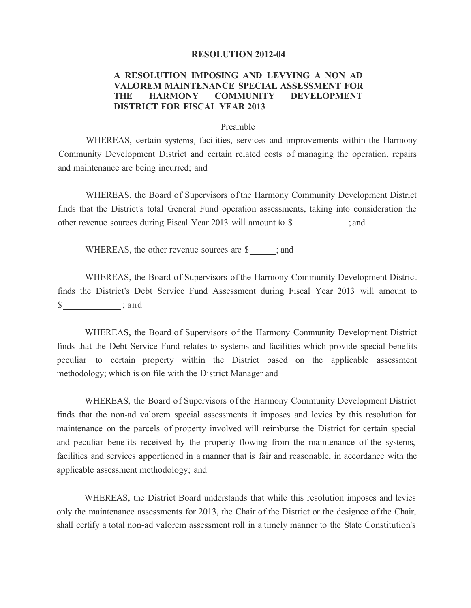## **RESOLUTION 2012-04**

## **A RESOLUTION IMPOSING AND LEVYING A NON AD V ALOREM MAINTENANCE SPECIAL ASSESSMENT FOR THE HARMONY COMMUNITY DEVELOPMENT DISTRICT FOR FISCAL YEAR 2013**

## Preamble

WHEREAS, certain systems, facilities, services and improvements within the Harmony Community Development District and certain related costs of managing the operation, repairs and maintenance are being incurred; and

WHEREAS, the Board of Supervisors of the Harmony Community Development District finds that the District's total General Fund operation assessments, taking into consideration the other revenue sources during Fiscal Year 2013 will amount to \$ ; and

WHEREAS, the other revenue sources are \$\_\_\_\_; and

WHEREAS, the Board of Supervisors of the Harmony Community Development District finds the District's Debt Service Fund Assessment during Fiscal Year 2013 will amount to  $\frac{\sinh 2\theta}{\sinh 2\theta}$ ; and

WHEREAS, the Board of Supervisors of the Harmony Community Development District finds that the Debt Service Fund relates to systems and facilities which provide special benefits peculiar to certain property within the District based on the applicable assessment methodology; which is on file with the District Manager and

WHEREAS, the Board of Supervisors of the Harmony Community Development District finds that the non-ad valorem special assessments it imposes and levies by this resolution for maintenance on the parcels of property involved will reimburse the District for certain special and peculiar benefits received by the property flowing from the maintenance of the systems, facilities and services apportioned in a manner that is fair and reasonable, in accordance with the applicable assessment methodology; and

WHEREAS, the District Board understands that while this resolution imposes and levies only the maintenance assessments for 2013, the Chair of the District or the designee of the Chair, shall certify a total non-ad valorem assessment roll in a timely manner to the State Constitution's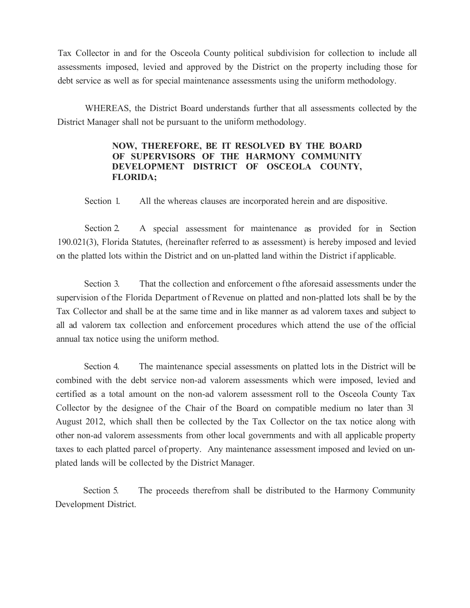Tax Collector in and for the Osceola County political subdivision for collection to include all assessments imposed, levied and approved by the District on the property including those for debt service as well as for special maintenance assessments using the uniform methodology.

WHEREAS, the District Board understands further that all assessments collected by the District Manager shall not be pursuant to the uniform methodology.

## **NOW, THEREFORE, BE IT RESOLVED BY THE BOARD OF SUPERVISORS OF THE HARMONY COMMUNITY DEVELOPMENT DISTRICT OF OSCEOLA COUNTY, FLORIDA;**

Section 1. All the whereas clauses are incorporated herein and are dispositive.

Section 2. A special assessment for maintenance as provided for in Section 190.021(3), Florida Statutes, (hereinafter referred to as assessment) is hereby imposed and levied on the platted lots within the District and on un-platted land within the District if applicable.

Section 3. That the collection and enforcement of the aforesaid assessments under the supervision of the Florida Department of Revenue on platted and non-platted lots shall be by the Tax Collector and shall be at the same time and in like manner as ad valorem taxes and subject to all ad valorem tax collection and enforcement procedures which attend the use of the official annual tax notice using the uniform method.

Section 4. The maintenance special assessments on platted lots in the District will be combined with the debt service non-ad valorem assessments which were imposed, levied and certified as a total amount on the non-ad valorem assessment roll to the Osceola County Tax Collector by the designee of the Chair of the Board on compatible medium no later than 31 August 2012, which shall then be collected by the Tax Collector on the tax notice along with other non-ad valorem assessments from other local governments and with all applicable property taxes to each platted parcel of property. Any maintenance assessment imposed and levied on unplated lands will be collected by the District Manager.

Section 5. The proceeds therefrom shall be distributed to the Harmony Community Development District.